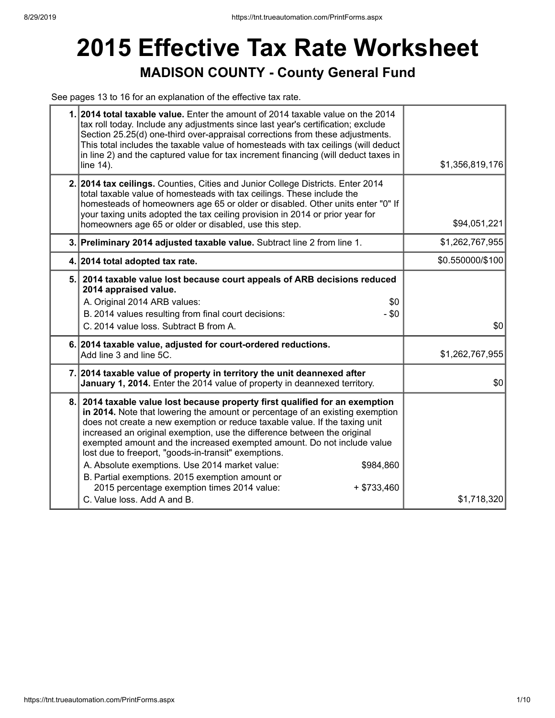## **2015 Effective Tax Rate Worksheet MADISON COUNTY - County General Fund**

See pages 13 to 16 for an explanation of the effective tax rate.

| 1. 2014 total taxable value. Enter the amount of 2014 taxable value on the 2014<br>tax roll today. Include any adjustments since last year's certification; exclude<br>Section 25.25(d) one-third over-appraisal corrections from these adjustments.<br>This total includes the taxable value of homesteads with tax ceilings (will deduct<br>in line 2) and the captured value for tax increment financing (will deduct taxes in<br>line 14).                                                                                                                                                                                                                               | \$1,356,819,176  |
|------------------------------------------------------------------------------------------------------------------------------------------------------------------------------------------------------------------------------------------------------------------------------------------------------------------------------------------------------------------------------------------------------------------------------------------------------------------------------------------------------------------------------------------------------------------------------------------------------------------------------------------------------------------------------|------------------|
| 2. 2014 tax ceilings. Counties, Cities and Junior College Districts. Enter 2014<br>total taxable value of homesteads with tax ceilings. These include the<br>homesteads of homeowners age 65 or older or disabled. Other units enter "0" If<br>your taxing units adopted the tax ceiling provision in 2014 or prior year for<br>homeowners age 65 or older or disabled, use this step.                                                                                                                                                                                                                                                                                       | \$94,051,221     |
| 3. Preliminary 2014 adjusted taxable value. Subtract line 2 from line 1.                                                                                                                                                                                                                                                                                                                                                                                                                                                                                                                                                                                                     | \$1,262,767,955  |
| 4. 2014 total adopted tax rate.                                                                                                                                                                                                                                                                                                                                                                                                                                                                                                                                                                                                                                              | \$0.550000/\$100 |
| 5. 2014 taxable value lost because court appeals of ARB decisions reduced<br>2014 appraised value.<br>A. Original 2014 ARB values:<br>\$0<br>B. 2014 values resulting from final court decisions:<br>$-$ \$0<br>C. 2014 value loss. Subtract B from A.                                                                                                                                                                                                                                                                                                                                                                                                                       | \$0              |
| 6. 2014 taxable value, adjusted for court-ordered reductions.<br>Add line 3 and line 5C.                                                                                                                                                                                                                                                                                                                                                                                                                                                                                                                                                                                     | \$1,262,767,955  |
| 7. 2014 taxable value of property in territory the unit deannexed after<br>January 1, 2014. Enter the 2014 value of property in deannexed territory.                                                                                                                                                                                                                                                                                                                                                                                                                                                                                                                         | \$0              |
| 8. 2014 taxable value lost because property first qualified for an exemption<br>in 2014. Note that lowering the amount or percentage of an existing exemption<br>does not create a new exemption or reduce taxable value. If the taxing unit<br>increased an original exemption, use the difference between the original<br>exempted amount and the increased exempted amount. Do not include value<br>lost due to freeport, "goods-in-transit" exemptions.<br>A. Absolute exemptions. Use 2014 market value:<br>\$984,860<br>B. Partial exemptions. 2015 exemption amount or<br>2015 percentage exemption times 2014 value:<br>$+$ \$733,460<br>C. Value loss. Add A and B. | \$1,718,320      |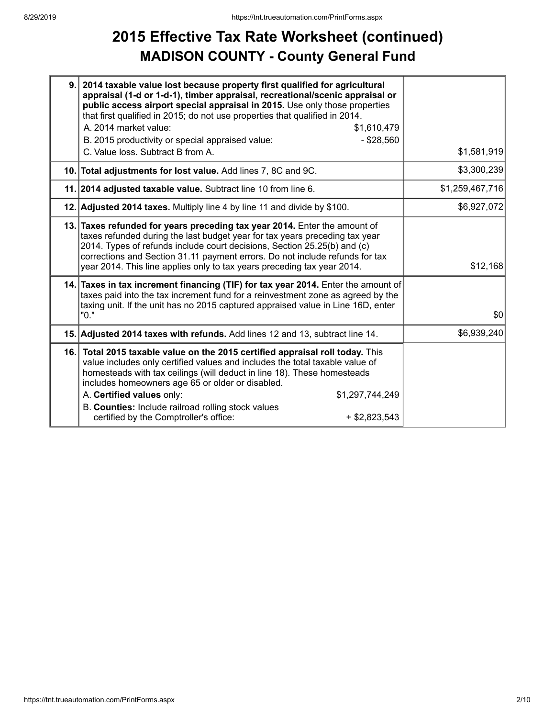## **2015 Effective Tax Rate Worksheet (continued) MADISON COUNTY - County General Fund**

| 9.  | 2014 taxable value lost because property first qualified for agricultural<br>appraisal (1-d or 1-d-1), timber appraisal, recreational/scenic appraisal or<br>public access airport special appraisal in 2015. Use only those properties<br>that first qualified in 2015; do not use properties that qualified in 2014.                                                                                                                                      |                 |
|-----|-------------------------------------------------------------------------------------------------------------------------------------------------------------------------------------------------------------------------------------------------------------------------------------------------------------------------------------------------------------------------------------------------------------------------------------------------------------|-----------------|
|     | A. 2014 market value:<br>\$1,610,479                                                                                                                                                                                                                                                                                                                                                                                                                        |                 |
|     | $-$ \$28,560<br>B. 2015 productivity or special appraised value:<br>C. Value loss. Subtract B from A.                                                                                                                                                                                                                                                                                                                                                       | \$1,581,919     |
|     | 10. Total adjustments for lost value. Add lines 7, 8C and 9C.                                                                                                                                                                                                                                                                                                                                                                                               | \$3,300,239     |
|     | 11. 2014 adjusted taxable value. Subtract line 10 from line 6.                                                                                                                                                                                                                                                                                                                                                                                              | \$1,259,467,716 |
|     | 12. Adjusted 2014 taxes. Multiply line 4 by line 11 and divide by \$100.                                                                                                                                                                                                                                                                                                                                                                                    | \$6,927,072     |
|     | 13. Taxes refunded for years preceding tax year 2014. Enter the amount of<br>taxes refunded during the last budget year for tax years preceding tax year<br>2014. Types of refunds include court decisions, Section 25.25(b) and (c)<br>corrections and Section 31.11 payment errors. Do not include refunds for tax<br>year 2014. This line applies only to tax years preceding tax year 2014.                                                             | \$12,168        |
|     | 14. Taxes in tax increment financing (TIF) for tax year 2014. Enter the amount of<br>taxes paid into the tax increment fund for a reinvestment zone as agreed by the<br>taxing unit. If the unit has no 2015 captured appraised value in Line 16D, enter<br>"0."                                                                                                                                                                                            | \$0             |
|     | 15. Adjusted 2014 taxes with refunds. Add lines 12 and 13, subtract line 14.                                                                                                                                                                                                                                                                                                                                                                                | \$6,939,240     |
| 16. | Total 2015 taxable value on the 2015 certified appraisal roll today. This<br>value includes only certified values and includes the total taxable value of<br>homesteads with tax ceilings (will deduct in line 18). These homesteads<br>includes homeowners age 65 or older or disabled.<br>A. Certified values only:<br>\$1,297,744,249<br>B. Counties: Include railroad rolling stock values<br>certified by the Comptroller's office:<br>$+$ \$2,823,543 |                 |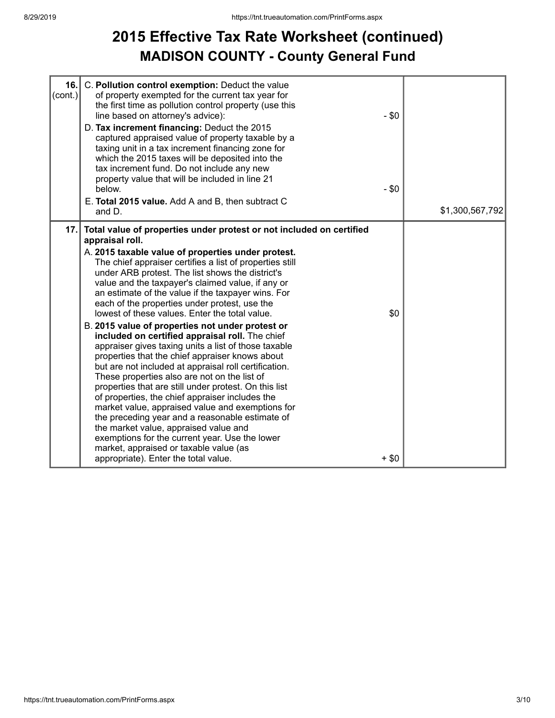### **2015 Effective Tax Rate Worksheet (continued) MADISON COUNTY - County General Fund**

| 16.<br>$\left($ cont.) | C. Pollution control exemption: Deduct the value<br>of property exempted for the current tax year for<br>the first time as pollution control property (use this<br>line based on attorney's advice):<br>D. Tax increment financing: Deduct the 2015<br>captured appraised value of property taxable by a<br>taxing unit in a tax increment financing zone for<br>which the 2015 taxes will be deposited into the<br>tax increment fund. Do not include any new<br>property value that will be included in line 21<br>below.                                                                                                                                                                                                                                                                                                                                                                                                                                                                                                                                                                                                                                                                                | $-$ \$0<br>$-$ \$0 |                 |
|------------------------|------------------------------------------------------------------------------------------------------------------------------------------------------------------------------------------------------------------------------------------------------------------------------------------------------------------------------------------------------------------------------------------------------------------------------------------------------------------------------------------------------------------------------------------------------------------------------------------------------------------------------------------------------------------------------------------------------------------------------------------------------------------------------------------------------------------------------------------------------------------------------------------------------------------------------------------------------------------------------------------------------------------------------------------------------------------------------------------------------------------------------------------------------------------------------------------------------------|--------------------|-----------------|
|                        | E. Total 2015 value. Add A and B, then subtract C<br>and D.                                                                                                                                                                                                                                                                                                                                                                                                                                                                                                                                                                                                                                                                                                                                                                                                                                                                                                                                                                                                                                                                                                                                                |                    | \$1,300,567,792 |
|                        | 17. Total value of properties under protest or not included on certified<br>appraisal roll.<br>A. 2015 taxable value of properties under protest.<br>The chief appraiser certifies a list of properties still<br>under ARB protest. The list shows the district's<br>value and the taxpayer's claimed value, if any or<br>an estimate of the value if the taxpayer wins. For<br>each of the properties under protest, use the<br>lowest of these values. Enter the total value.<br>B. 2015 value of properties not under protest or<br>included on certified appraisal roll. The chief<br>appraiser gives taxing units a list of those taxable<br>properties that the chief appraiser knows about<br>but are not included at appraisal roll certification.<br>These properties also are not on the list of<br>properties that are still under protest. On this list<br>of properties, the chief appraiser includes the<br>market value, appraised value and exemptions for<br>the preceding year and a reasonable estimate of<br>the market value, appraised value and<br>exemptions for the current year. Use the lower<br>market, appraised or taxable value (as<br>appropriate). Enter the total value. | \$0<br>$+$ \$0     |                 |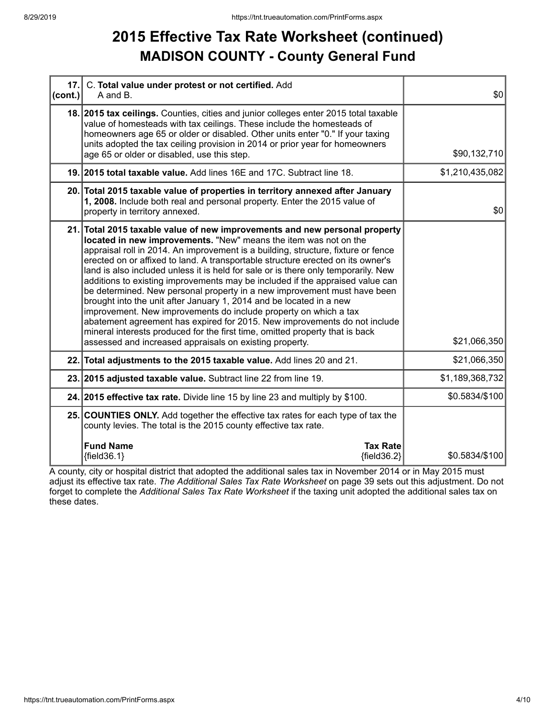#### **2015 Effective Tax Rate Worksheet (continued) MADISON COUNTY - County General Fund**

| $ cont.$ ) | 17. C. Total value under protest or not certified. Add<br>A and B.                                                                                                                                                                                                                                                                                                                                                                                                                                                                                                                                                                                                                                                                                                                                                                                                                                                                           | \$0             |
|------------|----------------------------------------------------------------------------------------------------------------------------------------------------------------------------------------------------------------------------------------------------------------------------------------------------------------------------------------------------------------------------------------------------------------------------------------------------------------------------------------------------------------------------------------------------------------------------------------------------------------------------------------------------------------------------------------------------------------------------------------------------------------------------------------------------------------------------------------------------------------------------------------------------------------------------------------------|-----------------|
|            | 18. 2015 tax ceilings. Counties, cities and junior colleges enter 2015 total taxable<br>value of homesteads with tax ceilings. These include the homesteads of<br>homeowners age 65 or older or disabled. Other units enter "0." If your taxing<br>units adopted the tax ceiling provision in 2014 or prior year for homeowners<br>age 65 or older or disabled, use this step.                                                                                                                                                                                                                                                                                                                                                                                                                                                                                                                                                               | \$90,132,710    |
|            | 19. 2015 total taxable value. Add lines 16E and 17C. Subtract line 18.                                                                                                                                                                                                                                                                                                                                                                                                                                                                                                                                                                                                                                                                                                                                                                                                                                                                       | \$1,210,435,082 |
|            | 20. Total 2015 taxable value of properties in territory annexed after January<br>1, 2008. Include both real and personal property. Enter the 2015 value of<br>property in territory annexed.                                                                                                                                                                                                                                                                                                                                                                                                                                                                                                                                                                                                                                                                                                                                                 | \$0             |
|            | 21. Total 2015 taxable value of new improvements and new personal property<br>located in new improvements. "New" means the item was not on the<br>appraisal roll in 2014. An improvement is a building, structure, fixture or fence<br>erected on or affixed to land. A transportable structure erected on its owner's<br>land is also included unless it is held for sale or is there only temporarily. New<br>additions to existing improvements may be included if the appraised value can<br>be determined. New personal property in a new improvement must have been<br>brought into the unit after January 1, 2014 and be located in a new<br>improvement. New improvements do include property on which a tax<br>abatement agreement has expired for 2015. New improvements do not include<br>mineral interests produced for the first time, omitted property that is back<br>assessed and increased appraisals on existing property. | \$21,066,350    |
|            | 22. Total adjustments to the 2015 taxable value. Add lines 20 and 21.                                                                                                                                                                                                                                                                                                                                                                                                                                                                                                                                                                                                                                                                                                                                                                                                                                                                        | \$21,066,350    |
|            | 23. 2015 adjusted taxable value. Subtract line 22 from line 19.                                                                                                                                                                                                                                                                                                                                                                                                                                                                                                                                                                                                                                                                                                                                                                                                                                                                              | \$1,189,368,732 |
|            | 24. 2015 effective tax rate. Divide line 15 by line 23 and multiply by \$100.                                                                                                                                                                                                                                                                                                                                                                                                                                                                                                                                                                                                                                                                                                                                                                                                                                                                | \$0.5834/\$100  |
|            | 25. COUNTIES ONLY. Add together the effective tax rates for each type of tax the<br>county levies. The total is the 2015 county effective tax rate.                                                                                                                                                                                                                                                                                                                                                                                                                                                                                                                                                                                                                                                                                                                                                                                          |                 |
|            | <b>Fund Name</b><br><b>Tax Rate</b><br>${fields.1}$<br>${fields2}$                                                                                                                                                                                                                                                                                                                                                                                                                                                                                                                                                                                                                                                                                                                                                                                                                                                                           | \$0.5834/\$100  |

A county, city or hospital district that adopted the additional sales tax in November 2014 or in May 2015 must adjust its effective tax rate. *The Additional Sales Tax Rate Worksheet* on page 39 sets out this adjustment. Do not forget to complete the *Additional Sales Tax Rate Worksheet* if the taxing unit adopted the additional sales tax on these dates.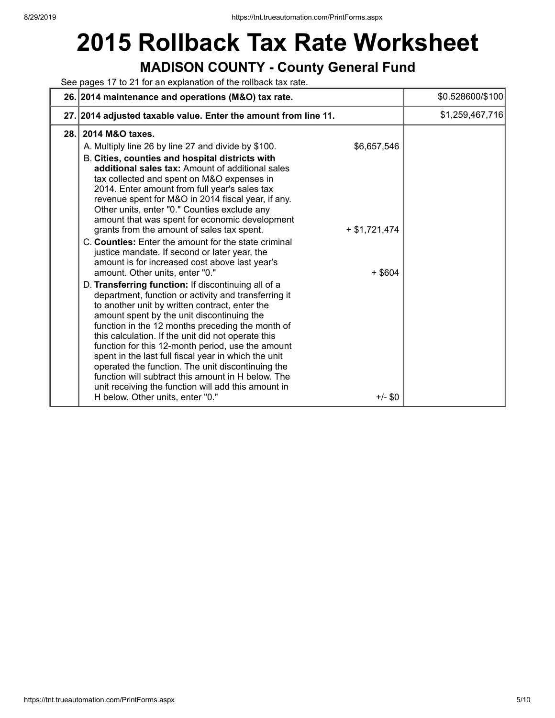# **2015 Rollback Tax Rate Worksheet**

#### **MADISON COUNTY - County General Fund**

See pages 17 to 21 for an explanation of the rollback tax rate.

|      | 26. 2014 maintenance and operations (M&O) tax rate.                                                                                                                                                                                                                                                                                                                                                                                                                                                                                                                                                                                                                                                                                                                                                                                                                                                                                                                                                                                                                                                                                                                                                                                                                                                                                                                                     | \$0.528600/\$100 |
|------|-----------------------------------------------------------------------------------------------------------------------------------------------------------------------------------------------------------------------------------------------------------------------------------------------------------------------------------------------------------------------------------------------------------------------------------------------------------------------------------------------------------------------------------------------------------------------------------------------------------------------------------------------------------------------------------------------------------------------------------------------------------------------------------------------------------------------------------------------------------------------------------------------------------------------------------------------------------------------------------------------------------------------------------------------------------------------------------------------------------------------------------------------------------------------------------------------------------------------------------------------------------------------------------------------------------------------------------------------------------------------------------------|------------------|
|      | 27. 2014 adjusted taxable value. Enter the amount from line 11.                                                                                                                                                                                                                                                                                                                                                                                                                                                                                                                                                                                                                                                                                                                                                                                                                                                                                                                                                                                                                                                                                                                                                                                                                                                                                                                         | \$1,259,467,716  |
| 28.1 | 2014 M&O taxes.<br>\$6,657,546<br>A. Multiply line 26 by line 27 and divide by \$100.<br>B. Cities, counties and hospital districts with<br>additional sales tax: Amount of additional sales<br>tax collected and spent on M&O expenses in<br>2014. Enter amount from full year's sales tax<br>revenue spent for M&O in 2014 fiscal year, if any.<br>Other units, enter "0." Counties exclude any<br>amount that was spent for economic development<br>grants from the amount of sales tax spent.<br>$+ $1,721,474$<br>C. Counties: Enter the amount for the state criminal<br>justice mandate. If second or later year, the<br>amount is for increased cost above last year's<br>amount. Other units, enter "0."<br>$+$ \$604<br>D. Transferring function: If discontinuing all of a<br>department, function or activity and transferring it<br>to another unit by written contract, enter the<br>amount spent by the unit discontinuing the<br>function in the 12 months preceding the month of<br>this calculation. If the unit did not operate this<br>function for this 12-month period, use the amount<br>spent in the last full fiscal year in which the unit<br>operated the function. The unit discontinuing the<br>function will subtract this amount in H below. The<br>unit receiving the function will add this amount in<br>H below. Other units, enter "0."<br>$+/-$ \$0 |                  |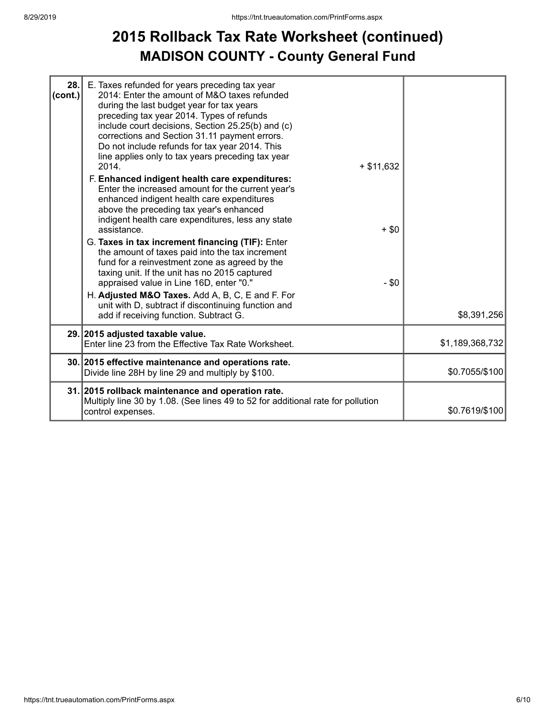### **2015 Rollback Tax Rate Worksheet (continued) MADISON COUNTY - County General Fund**

| 28.<br>(cont.) | E. Taxes refunded for years preceding tax year<br>2014: Enter the amount of M&O taxes refunded<br>during the last budget year for tax years<br>preceding tax year 2014. Types of refunds<br>include court decisions, Section 25.25(b) and (c)<br>corrections and Section 31.11 payment errors.<br>Do not include refunds for tax year 2014. This<br>line applies only to tax years preceding tax year<br>2014.<br>$+ $11,632$<br>F. Enhanced indigent health care expenditures:                                                                                               |                    |                 |
|----------------|-------------------------------------------------------------------------------------------------------------------------------------------------------------------------------------------------------------------------------------------------------------------------------------------------------------------------------------------------------------------------------------------------------------------------------------------------------------------------------------------------------------------------------------------------------------------------------|--------------------|-----------------|
|                | Enter the increased amount for the current year's<br>enhanced indigent health care expenditures<br>above the preceding tax year's enhanced<br>indigent health care expenditures, less any state<br>assistance.<br>G. Taxes in tax increment financing (TIF): Enter<br>the amount of taxes paid into the tax increment<br>fund for a reinvestment zone as agreed by the<br>taxing unit. If the unit has no 2015 captured<br>appraised value in Line 16D, enter "0."<br>H. Adjusted M&O Taxes. Add A, B, C, E and F. For<br>unit with D, subtract if discontinuing function and | $+$ \$0<br>$-$ \$0 |                 |
|                | add if receiving function. Subtract G.                                                                                                                                                                                                                                                                                                                                                                                                                                                                                                                                        |                    | \$8,391,256     |
|                | 29. 2015 adjusted taxable value.<br>Enter line 23 from the Effective Tax Rate Worksheet.                                                                                                                                                                                                                                                                                                                                                                                                                                                                                      |                    | \$1,189,368,732 |
|                | 30. 2015 effective maintenance and operations rate.<br>Divide line 28H by line 29 and multiply by \$100.                                                                                                                                                                                                                                                                                                                                                                                                                                                                      |                    | \$0.7055/\$100  |
|                | 31. 2015 rollback maintenance and operation rate.<br>Multiply line 30 by 1.08. (See lines 49 to 52 for additional rate for pollution<br>control expenses.                                                                                                                                                                                                                                                                                                                                                                                                                     |                    | \$0.7619/\$100  |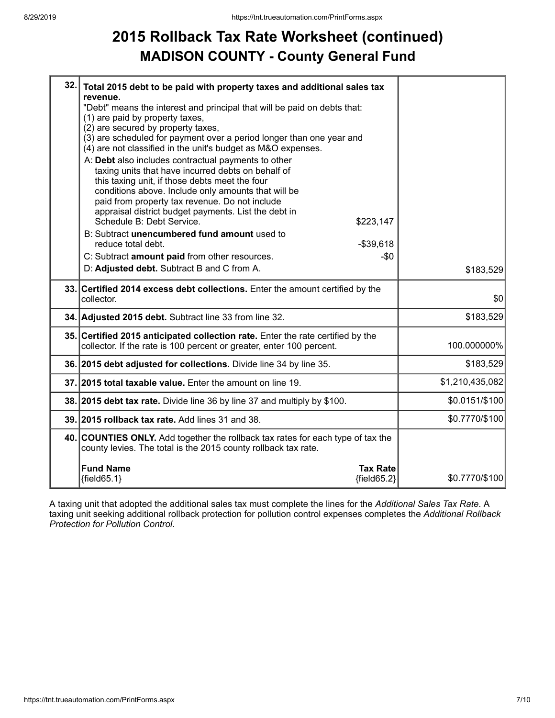### **2015 Rollback Tax Rate Worksheet (continued) MADISON COUNTY - County General Fund**

| 32. | Total 2015 debt to be paid with property taxes and additional sales tax                                                                                 |                 |
|-----|---------------------------------------------------------------------------------------------------------------------------------------------------------|-----------------|
|     | revenue.<br>"Debt" means the interest and principal that will be paid on debts that:                                                                    |                 |
|     | (1) are paid by property taxes,<br>(2) are secured by property taxes,                                                                                   |                 |
|     | (3) are scheduled for payment over a period longer than one year and                                                                                    |                 |
|     | (4) are not classified in the unit's budget as M&O expenses.                                                                                            |                 |
|     | A: Debt also includes contractual payments to other<br>taxing units that have incurred debts on behalf of                                               |                 |
|     | this taxing unit, if those debts meet the four                                                                                                          |                 |
|     | conditions above. Include only amounts that will be                                                                                                     |                 |
|     | paid from property tax revenue. Do not include<br>appraisal district budget payments. List the debt in                                                  |                 |
|     | Schedule B: Debt Service.<br>\$223,147                                                                                                                  |                 |
|     | B: Subtract unencumbered fund amount used to                                                                                                            |                 |
|     | reduce total debt.<br>$-$39,618$                                                                                                                        |                 |
|     | C: Subtract amount paid from other resources.<br>-\$0<br>D: Adjusted debt. Subtract B and C from A.                                                     |                 |
|     |                                                                                                                                                         | \$183,529       |
|     |                                                                                                                                                         |                 |
|     | 33. Certified 2014 excess debt collections. Enter the amount certified by the<br>collector.                                                             | \$0             |
|     | 34. Adjusted 2015 debt. Subtract line 33 from line 32.                                                                                                  | \$183,529       |
|     | 35. Certified 2015 anticipated collection rate. Enter the rate certified by the<br>collector. If the rate is 100 percent or greater, enter 100 percent. | 100.000000%     |
|     | 36. 2015 debt adjusted for collections. Divide line 34 by line 35.                                                                                      | \$183,529       |
|     | 37. 2015 total taxable value. Enter the amount on line 19.                                                                                              | \$1,210,435,082 |
|     | 38. 2015 debt tax rate. Divide line 36 by line 37 and multiply by \$100.                                                                                | \$0.0151/\$100  |
|     | 39. 2015 rollback tax rate. Add lines 31 and 38.                                                                                                        | \$0.7770/\$100  |
|     | 40. COUNTIES ONLY. Add together the rollback tax rates for each type of tax the<br>county levies. The total is the 2015 county rollback tax rate.       |                 |
|     | <b>Fund Name</b><br><b>Tax Rate</b>                                                                                                                     |                 |

A taxing unit that adopted the additional sales tax must complete the lines for the *Additional Sales Tax Rate*. A taxing unit seeking additional rollback protection for pollution control expenses completes the *Additional Rollback Protection for Pollution Control*.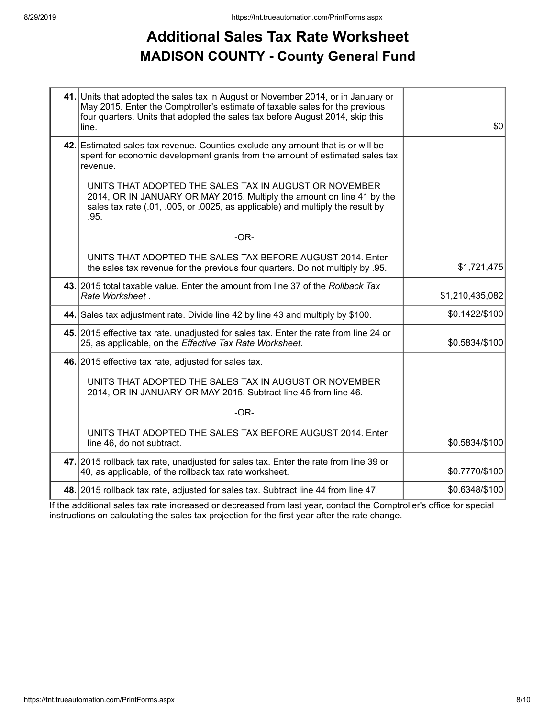### **Additional Sales Tax Rate Worksheet MADISON COUNTY - County General Fund**

| 41. Units that adopted the sales tax in August or November 2014, or in January or<br>May 2015. Enter the Comptroller's estimate of taxable sales for the previous<br>four quarters. Units that adopted the sales tax before August 2014, skip this<br>line. | \$0             |
|-------------------------------------------------------------------------------------------------------------------------------------------------------------------------------------------------------------------------------------------------------------|-----------------|
| 42. Estimated sales tax revenue. Counties exclude any amount that is or will be<br>spent for economic development grants from the amount of estimated sales tax<br>revenue.                                                                                 |                 |
| UNITS THAT ADOPTED THE SALES TAX IN AUGUST OR NOVEMBER<br>2014, OR IN JANUARY OR MAY 2015. Multiply the amount on line 41 by the<br>sales tax rate (.01, .005, or .0025, as applicable) and multiply the result by<br>.95.                                  |                 |
| $-OR-$                                                                                                                                                                                                                                                      |                 |
| UNITS THAT ADOPTED THE SALES TAX BEFORE AUGUST 2014. Enter<br>the sales tax revenue for the previous four quarters. Do not multiply by .95.                                                                                                                 | \$1,721,475     |
| 43. 2015 total taxable value. Enter the amount from line 37 of the Rollback Tax<br>Rate Worksheet.                                                                                                                                                          | \$1,210,435,082 |
| 44. Sales tax adjustment rate. Divide line 42 by line 43 and multiply by \$100.                                                                                                                                                                             | \$0.1422/\$100  |
| 45. 2015 effective tax rate, unadjusted for sales tax. Enter the rate from line 24 or<br>25, as applicable, on the Effective Tax Rate Worksheet.                                                                                                            | \$0.5834/\$100  |
| 46. 2015 effective tax rate, adjusted for sales tax.                                                                                                                                                                                                        |                 |
| UNITS THAT ADOPTED THE SALES TAX IN AUGUST OR NOVEMBER<br>2014, OR IN JANUARY OR MAY 2015. Subtract line 45 from line 46.                                                                                                                                   |                 |
| $-OR-$                                                                                                                                                                                                                                                      |                 |
| UNITS THAT ADOPTED THE SALES TAX BEFORE AUGUST 2014. Enter<br>line 46, do not subtract.                                                                                                                                                                     | \$0.5834/\$100  |
| 47. 2015 rollback tax rate, unadjusted for sales tax. Enter the rate from line 39 or<br>40, as applicable, of the rollback tax rate worksheet.                                                                                                              | \$0.7770/\$100  |
| 48. 2015 rollback tax rate, adjusted for sales tax. Subtract line 44 from line 47.                                                                                                                                                                          | \$0.6348/\$100  |

If the additional sales tax rate increased or decreased from last year, contact the Comptroller's office for special instructions on calculating the sales tax projection for the first year after the rate change.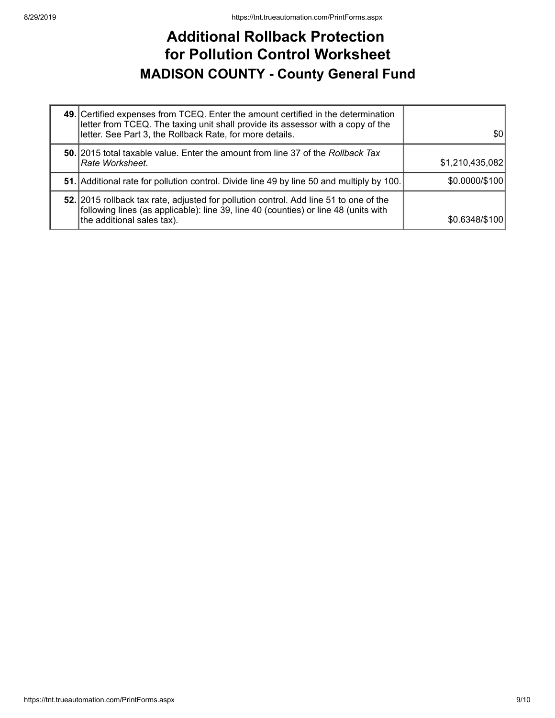#### **Additional Rollback Protection for Pollution Control Worksheet MADISON COUNTY - County General Fund**

| 49. Certified expenses from TCEQ. Enter the amount certified in the determination<br>letter from TCEQ. The taxing unit shall provide its assessor with a copy of the<br>letter. See Part 3, the Rollback Rate, for more details. | \$0             |
|----------------------------------------------------------------------------------------------------------------------------------------------------------------------------------------------------------------------------------|-----------------|
| 50. 2015 total taxable value. Enter the amount from line 37 of the Rollback Tax<br> Rate Worksheet.                                                                                                                              | \$1,210,435,082 |
| 51. Additional rate for pollution control. Divide line 49 by line 50 and multiply by 100.                                                                                                                                        | \$0.0000/\$100  |
| 52. 2015 rollback tax rate, adjusted for pollution control. Add line 51 to one of the<br>following lines (as applicable): line 39, line 40 (counties) or line 48 (units with<br>the additional sales tax).                       | \$0.6348/\$100  |